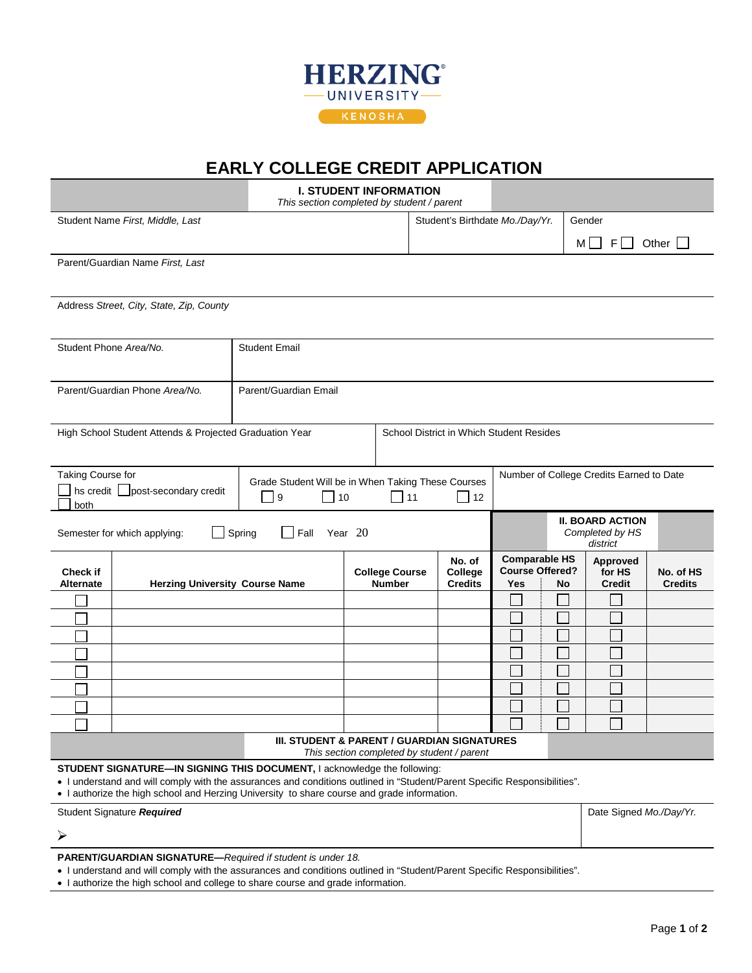

## **EARLY COLLEGE CREDIT APPLICATION**

|                                                                                                                                                                                                                                                                                                      |                                                         | <b>I. STUDENT INFORMATION</b><br>This section completed by student / parent |                                          |           |                                            |                                                                    |  |                                                        |                             |  |  |  |  |
|------------------------------------------------------------------------------------------------------------------------------------------------------------------------------------------------------------------------------------------------------------------------------------------------------|---------------------------------------------------------|-----------------------------------------------------------------------------|------------------------------------------|-----------|--------------------------------------------|--------------------------------------------------------------------|--|--------------------------------------------------------|-----------------------------|--|--|--|--|
|                                                                                                                                                                                                                                                                                                      | Student Name First, Middle, Last                        |                                                                             |                                          |           | Student's Birthdate Mo./Day/Yr.            |                                                                    |  | Gender                                                 |                             |  |  |  |  |
|                                                                                                                                                                                                                                                                                                      |                                                         |                                                                             |                                          |           |                                            |                                                                    |  | $M \Box$<br>$F \Box$                                   | Other $\Box$                |  |  |  |  |
|                                                                                                                                                                                                                                                                                                      | Parent/Guardian Name First, Last                        |                                                                             |                                          |           |                                            |                                                                    |  |                                                        |                             |  |  |  |  |
|                                                                                                                                                                                                                                                                                                      |                                                         |                                                                             |                                          |           |                                            |                                                                    |  |                                                        |                             |  |  |  |  |
| Address Street, City, State, Zip, County                                                                                                                                                                                                                                                             |                                                         |                                                                             |                                          |           |                                            |                                                                    |  |                                                        |                             |  |  |  |  |
|                                                                                                                                                                                                                                                                                                      |                                                         |                                                                             |                                          |           |                                            |                                                                    |  |                                                        |                             |  |  |  |  |
| Student Phone Area/No.                                                                                                                                                                                                                                                                               |                                                         | <b>Student Email</b>                                                        |                                          |           |                                            |                                                                    |  |                                                        |                             |  |  |  |  |
|                                                                                                                                                                                                                                                                                                      |                                                         |                                                                             |                                          |           |                                            |                                                                    |  |                                                        |                             |  |  |  |  |
|                                                                                                                                                                                                                                                                                                      | Parent/Guardian Phone Area/No.                          | Parent/Guardian Email                                                       |                                          |           |                                            |                                                                    |  |                                                        |                             |  |  |  |  |
|                                                                                                                                                                                                                                                                                                      |                                                         |                                                                             |                                          |           |                                            |                                                                    |  |                                                        |                             |  |  |  |  |
|                                                                                                                                                                                                                                                                                                      | High School Student Attends & Projected Graduation Year |                                                                             | School District in Which Student Resides |           |                                            |                                                                    |  |                                                        |                             |  |  |  |  |
|                                                                                                                                                                                                                                                                                                      |                                                         |                                                                             |                                          |           |                                            |                                                                    |  |                                                        |                             |  |  |  |  |
| Taking Course for                                                                                                                                                                                                                                                                                    |                                                         | Grade Student Will be in When Taking These Courses                          |                                          |           |                                            | Number of College Credits Earned to Date                           |  |                                                        |                             |  |  |  |  |
| both                                                                                                                                                                                                                                                                                                 | hs credit   post-secondary credit                       | $\Box$ 10<br>$\vert$ 9                                                      |                                          | $\Box$ 11 | $\overline{\phantom{0}}$ 12                |                                                                    |  |                                                        |                             |  |  |  |  |
| Spring<br>Year 20<br>Fall<br>Semester for which applying:                                                                                                                                                                                                                                            |                                                         |                                                                             |                                          |           |                                            |                                                                    |  | <b>II. BOARD ACTION</b><br>Completed by HS<br>district |                             |  |  |  |  |
| <b>Check if</b><br><b>Herzing University Course Name</b><br>Alternate                                                                                                                                                                                                                                |                                                         |                                                                             | <b>College Course</b><br><b>Number</b>   |           | No. of<br>College<br><b>Credits</b>        | <b>Comparable HS</b><br><b>Course Offered?</b><br><b>Yes</b><br>No |  | Approved<br>for HS<br><b>Credit</b>                    | No. of HS<br><b>Credits</b> |  |  |  |  |
|                                                                                                                                                                                                                                                                                                      |                                                         |                                                                             |                                          |           |                                            |                                                                    |  |                                                        |                             |  |  |  |  |
|                                                                                                                                                                                                                                                                                                      |                                                         |                                                                             |                                          |           |                                            |                                                                    |  |                                                        |                             |  |  |  |  |
|                                                                                                                                                                                                                                                                                                      |                                                         |                                                                             |                                          |           |                                            |                                                                    |  |                                                        |                             |  |  |  |  |
|                                                                                                                                                                                                                                                                                                      |                                                         |                                                                             |                                          |           |                                            |                                                                    |  |                                                        |                             |  |  |  |  |
|                                                                                                                                                                                                                                                                                                      |                                                         |                                                                             |                                          |           |                                            |                                                                    |  |                                                        |                             |  |  |  |  |
|                                                                                                                                                                                                                                                                                                      |                                                         |                                                                             |                                          |           |                                            |                                                                    |  |                                                        |                             |  |  |  |  |
|                                                                                                                                                                                                                                                                                                      |                                                         |                                                                             |                                          |           |                                            |                                                                    |  |                                                        |                             |  |  |  |  |
|                                                                                                                                                                                                                                                                                                      |                                                         |                                                                             |                                          |           |                                            |                                                                    |  |                                                        |                             |  |  |  |  |
|                                                                                                                                                                                                                                                                                                      |                                                         | III. STUDENT & PARENT / GUARDIAN SIGNATURES                                 |                                          |           | This section completed by student / parent |                                                                    |  |                                                        |                             |  |  |  |  |
| STUDENT SIGNATURE-IN SIGNING THIS DOCUMENT, I acknowledge the following:<br>• I understand and will comply with the assurances and conditions outlined in "Student/Parent Specific Responsibilities".<br>. I authorize the high school and Herzing University to share course and grade information. |                                                         |                                                                             |                                          |           |                                            |                                                                    |  |                                                        |                             |  |  |  |  |
| Student Signature Required                                                                                                                                                                                                                                                                           |                                                         |                                                                             |                                          |           |                                            |                                                                    |  |                                                        | Date Signed Mo./Day/Yr.     |  |  |  |  |
| ➤                                                                                                                                                                                                                                                                                                    |                                                         |                                                                             |                                          |           |                                            |                                                                    |  |                                                        |                             |  |  |  |  |
|                                                                                                                                                                                                                                                                                                      |                                                         |                                                                             |                                          |           |                                            |                                                                    |  |                                                        |                             |  |  |  |  |

**PARENT/GUARDIAN SIGNATURE—***Required if student is under 18.*

• I understand and will comply with the assurances and conditions outlined in "Student/Parent Specific Responsibilities".

• I authorize the high school and college to share course and grade information.